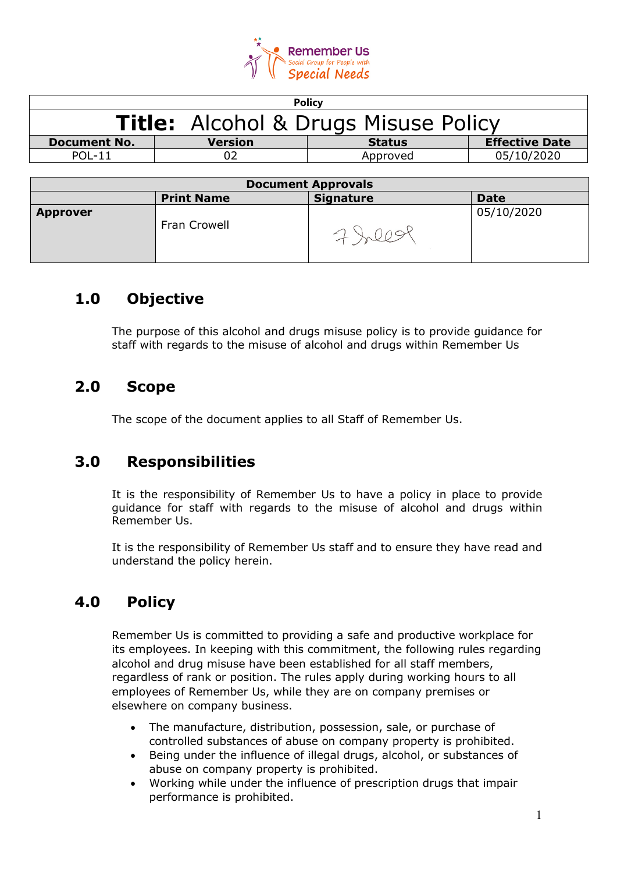

| <b>Policy</b>                               |                |               |                       |  |
|---------------------------------------------|----------------|---------------|-----------------------|--|
| <b>Title:</b> Alcohol & Drugs Misuse Policy |                |               |                       |  |
| <b>Document No.</b>                         | <b>Version</b> | <b>Status</b> | <b>Effective Date</b> |  |
| <b>POL-11</b>                               |                | Approved      | 05/10/2020            |  |
|                                             |                |               |                       |  |

| <b>Document Approvals</b> |                   |                  |             |  |
|---------------------------|-------------------|------------------|-------------|--|
|                           | <b>Print Name</b> | <b>Signature</b> | <b>Date</b> |  |
| <b>Approver</b>           | Fran Crowell      |                  | 05/10/2020  |  |

### **1.0 Objective**

The purpose of this alcohol and drugs misuse policy is to provide guidance for staff with regards to the misuse of alcohol and drugs within Remember Us

### **2.0 Scope**

The scope of the document applies to all Staff of Remember Us.

#### **3.0 Responsibilities**

It is the responsibility of Remember Us to have a policy in place to provide guidance for staff with regards to the misuse of alcohol and drugs within Remember Us.

It is the responsibility of Remember Us staff and to ensure they have read and understand the policy herein.

## **4.0 Policy**

Remember Us is committed to providing a safe and productive workplace for its employees. In keeping with this commitment, the following rules regarding alcohol and drug misuse have been established for all staff members, regardless of rank or position. The rules apply during working hours to all employees of Remember Us, while they are on company premises or elsewhere on company business.

- The manufacture, distribution, possession, sale, or purchase of controlled substances of abuse on company property is prohibited.
- Being under the influence of illegal drugs, alcohol, or substances of abuse on company property is prohibited.
- Working while under the influence of prescription drugs that impair performance is prohibited.